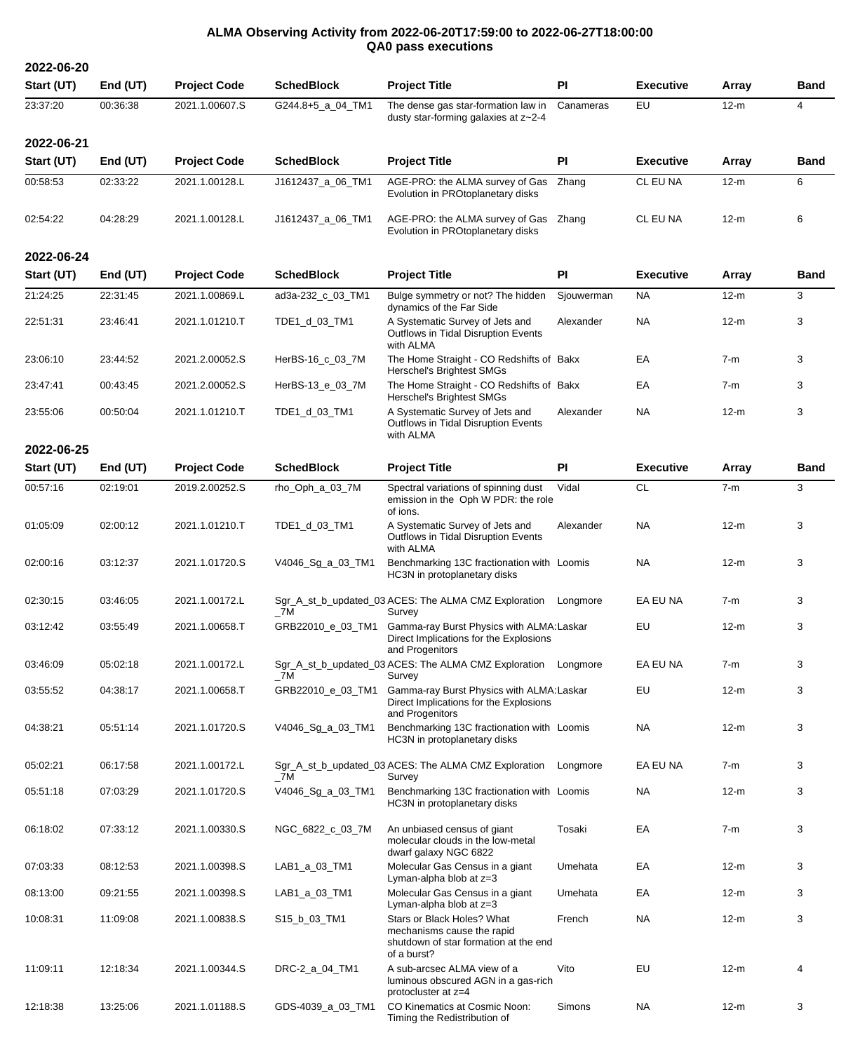## **ALMA Observing Activity from 2022-06-20T17:59:00 to 2022-06-27T18:00:00 QA0 pass executions**

**2022-06-20 Start (UT) End (UT) Project Code SchedBlock Project Title PI Executive Array Band** 23:37:20 00:36:38 2021.1.00607.S G244.8+5\_a\_04\_TM1 The dense gas star-formation law in dusty star-forming galaxies at z~2-4 Canameras EU 12-m 4 **2022-06-21 Start (UT) End (UT) Project Code SchedBlock Project Title PI Executive Array Band** 00:58:53 02:33:22 2021.1.00128.L J1612437\_a\_06\_TM1 AGE-PRO: the ALMA survey of Gas Evolution in PROtoplanetary disks Zhang CL EU NA 12-m 6 02:54:22 04:28:29 2021.1.00128.L J1612437\_a\_06\_TM1 AGE-PRO: the ALMA survey of Gas Zhang Evolution in PROtoplanetary disks CL EU NA 12-m 6 **2022-06-24 Start (UT) End (UT) Project Code SchedBlock Project Title PI Executive Array Band** 21:24:25 22:31:45 2021.1.00869.L ad3a-232\_c\_03\_TM1 Bulge symmetry or not? The hidden dynamics of the Far Side Siouwerman NA 12-m 3 22:51:31 23:46:41 2021.1.01210.T TDE1\_d\_03\_TM1 A Systematic Survey of Jets and Outflows in Tidal Disruption Events with ALMA Alexander NA 12-m 3 23:06:10 23:44:52 2021.2.00052.S HerBS-16\_c\_03\_7M The Home Straight - CO Redshifts of Bakx Herschel's Brightest SMGs Bakx EA 7-m 3 23:47:41 00:43:45 2021.2.00052.S HerBS-13\_e\_03\_7M The Home Straight - CO Redshifts of Bakx Herschel's Brightest SMGs Bakx EA 7-m 3 23:55:06 00:50:04 2021.1.01210.T TDE1\_d\_03\_TM1 A Systematic Survey of Jets and Outflows in Tidal Disruption Events with ALMA Alexander NA 12-m 3 **2022-06-25 Start (UT) End (UT) Project Code SchedBlock Project Title PI Executive Array Band** 00:57:16 02:19:01 2019.2.00252.S rho\_Oph\_a\_03\_7M Spectral variations of spinning dust emission in the Oph W PDR: the role of ions. Vidal CL 7-m 3 01:05:09 02:00:12 2021.1.01210.T TDE1\_d\_03\_TM1 A Systematic Survey of Jets and Outflows in Tidal Disruption Events with ALMA Alexander NA 12-m 3 02:00:16 03:12:37 2021.1.01720.S V4046\_Sg\_a\_03\_TM1 Benchmarking 13C fractionation with Loomis NA 12-m 3 HC3N in protoplanetary disks 02:30:15 03:46:05 2021.1.00172.L Sgr\_A\_st\_b\_updated\_03 ACES: The ALMA CMZ Exploration \_7M Survey Longmore EA EU NA 7-m 3 03:12:42 03:55:49 2021.1.00658.T GRB22010\_e\_03\_TM1 Gamma-ray Burst Physics with ALMA:Laskar EU 12-m 3 Direct Implications for the Explosions and Progenitors 03:46:09 05:02:18 2021.1.00172.L Sgr\_A\_st\_b\_updated\_03 ACES: The ALMA CMZ Exploration Longmore EA EU NA 7-m 3  $\_7M$ Survey 03:55:52 04:38:17 2021.1.00658.T GRB22010\_e\_03\_TM1 Gamma-ray Burst Physics with ALMA:Laskar EU 12-m 3 Direct Implications for the Explosions and Progenitors 04:38:21 05:51:14 2021.1.01720.S V4046\_Sg\_a\_03\_TM1 Benchmarking 13C fractionation with Loomis NA 12-m 3 HC3N in protoplanetary disks 05:02:21 06:17:58 2021.1.00172.L Sgr\_A\_st\_b\_updated\_03 ACES: The ALMA CMZ Exploration Longmore EA EU NA 7-m 3 \_7M Survey 05:51:18 07:03:29 2021.1.01720.S V4046\_Sg\_a\_03\_TM1 Benchmarking 13C fractionation with Loomis NA 12-m 3 HC3N in protoplanetary disks 06:18:02 07:33:12 2021.1.00330.S NGC\_6822\_c\_03\_7M An unbiased census of giant molecular clouds in the low-metal dwarf galaxy NGC 6822 Tosaki EA 7-m 3 07:03:33 08:12:53 2021.1.00398.S LAB1\_a\_03\_TM1 Molecular Gas Census in a giant Lyman-alpha blob at z=3 Umehata EA 12-m 3 08:13:00 09:21:55 2021.1.00398.S LAB1\_a\_03\_TM1 Molecular Gas Census in a giant Lyman-alpha blob at z=3 Umehata EA 12-m 3 10:08:31 11:09:08 2021.1.00838.S S15\_b\_03\_TM1 Stars or Black Holes? What mechanisms cause the rapid shutdown of star formation at the end of a burst? French NA 12-m 3 11:09:11 12:18:34 2021.1.00344.S DRC-2\_a\_04\_TM1 A sub-arcsec ALMA view of a luminous obscured AGN in a gas-rich protocluster at z=4 Vito EU 12-m 4 12:18:38 13:25:06 2021.1.01188.S GDS-4039\_a\_03\_TM1 CO Kinematics at Cosmic Noon: Timing the Redistribution of Simons NA 12-m 3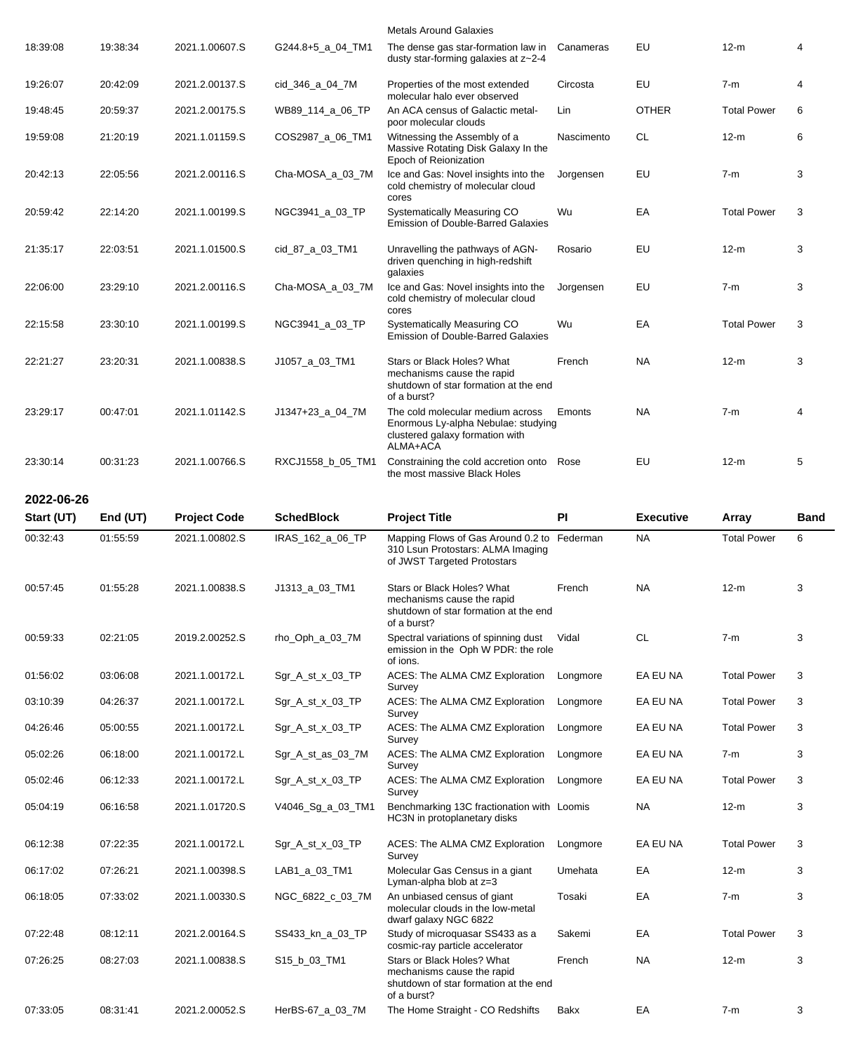|            |          |                     |                     | <b>Metals Around Galaxies</b>                                                                                                                       |            |                  |                    |      |
|------------|----------|---------------------|---------------------|-----------------------------------------------------------------------------------------------------------------------------------------------------|------------|------------------|--------------------|------|
| 18:39:08   | 19:38:34 | 2021.1.00607.S      | $G244.8+5$ a 04 TM1 | The dense gas star-formation law in<br>dusty star-forming galaxies at z~2-4                                                                         | Canameras  | EU               | $12-m$             | 4    |
| 19:26:07   | 20:42:09 | 2021.2.00137.S      | cid_346_a_04_7M     | Properties of the most extended<br>molecular halo ever observed                                                                                     | Circosta   | EU               | $7-m$              | 4    |
| 19:48:45   | 20:59:37 | 2021.2.00175.S      | WB89_114_a_06_TP    | An ACA census of Galactic metal-<br>poor molecular clouds                                                                                           | Lin        | <b>OTHER</b>     | <b>Total Power</b> | 6    |
| 19:59:08   | 21:20:19 | 2021.1.01159.S      | COS2987_a_06_TM1    | Witnessing the Assembly of a<br>Massive Rotating Disk Galaxy In the<br>Epoch of Reionization                                                        | Nascimento | <b>CL</b>        | $12-m$             | 6    |
| 20:42:13   | 22:05:56 | 2021.2.00116.S      | Cha-MOSA_a_03_7M    | Ice and Gas: Novel insights into the<br>cold chemistry of molecular cloud<br>cores                                                                  | Jorgensen  | EU               | $7-m$              | 3    |
| 20:59:42   | 22:14:20 | 2021.1.00199.S      | NGC3941_a_03_TP     | Systematically Measuring CO<br><b>Emission of Double-Barred Galaxies</b>                                                                            | Wu         | EA               | <b>Total Power</b> | 3    |
| 21:35:17   | 22:03:51 | 2021.1.01500.S      | cid_87_a_03_TM1     | Unravelling the pathways of AGN-<br>driven quenching in high-redshift<br>galaxies                                                                   | Rosario    | EU               | $12-m$             | 3    |
| 22:06:00   | 23:29:10 | 2021.2.00116.S      | Cha-MOSA_a_03_7M    | Ice and Gas: Novel insights into the<br>cold chemistry of molecular cloud<br>cores                                                                  | Jorgensen  | EU               | $7-m$              | 3    |
| 22:15:58   | 23:30:10 | 2021.1.00199.S      | NGC3941_a_03_TP     | Systematically Measuring CO<br><b>Emission of Double-Barred Galaxies</b>                                                                            | Wu         | EA               | <b>Total Power</b> | 3    |
| 22:21:27   | 23:20:31 | 2021.1.00838.S      | J1057_a_03_TM1      | Stars or Black Holes? What<br>mechanisms cause the rapid<br>shutdown of star formation at the end<br>of a burst?                                    | French     | <b>NA</b>        | $12-m$             | 3    |
| 23:29:17   | 00:47:01 | 2021.1.01142.S      | $J1347+23$ a 04 7M  | The cold molecular medium across<br>Enormous Ly-alpha Nebulae: studying<br>clustered galaxy formation with<br>ALMA+ACA                              | Emonts     | NA               | $7-m$              | 4    |
| 23:30:14   | 00:31:23 | 2021.1.00766.S      | RXCJ1558_b_05_TM1   | Constraining the cold accretion onto<br>the most massive Black Holes                                                                                | Rose       | EU               | $12-m$             | 5    |
| 2022-06-26 |          |                     |                     |                                                                                                                                                     |            |                  |                    |      |
|            |          |                     |                     |                                                                                                                                                     |            |                  |                    |      |
| Start (UT) | End (UT) | <b>Project Code</b> | <b>SchedBlock</b>   | <b>Project Title</b>                                                                                                                                | PI         | <b>Executive</b> | <b>Array</b>       | Band |
| 00:32:43   | 01:55:59 | 2021.1.00802.S      | IRAS_162_a_06_TP    | Mapping Flows of Gas Around 0.2 to Federman<br>310 Lsun Protostars: ALMA Imaging<br>of JWST Targeted Protostars                                     |            | <b>NA</b>        | <b>Total Power</b> | 6    |
| 00:57:45   | 01:55:28 | 2021.1.00838.S      | J1313_a_03_TM1      | Stars or Black Holes? What<br>mechanisms cause the rapid<br>shutdown of star formation at the end<br>of a burst?                                    | French     | NA.              | 12-m               | 3    |
| 00:59:33   | 02:21:05 | 2019.2.00252.S      | rho_Oph_a_03_7M     | Spectral variations of spinning dust<br>emission in the Oph W PDR: the role                                                                         | Vidal      | <b>CL</b>        | $7-m$              | 3    |
| 01:56:02   | 03:06:08 | 2021.1.00172.L      | Sgr_A_st_x_03_TP    | of ions.<br>ACES: The ALMA CMZ Exploration                                                                                                          | Longmore   | EA EU NA         | <b>Total Power</b> | 3    |
| 03:10:39   | 04:26:37 | 2021.1.00172.L      | Sgr_A_st_x_03_TP    | Survey<br>ACES: The ALMA CMZ Exploration                                                                                                            | Longmore   | EA EU NA         | <b>Total Power</b> | 3    |
| 04:26:46   | 05:00:55 | 2021.1.00172.L      | Sgr_A_st_x_03_TP    | Survey<br>ACES: The ALMA CMZ Exploration                                                                                                            | Longmore   | EA EU NA         | <b>Total Power</b> | 3    |
| 05:02:26   | 06:18:00 | 2021.1.00172.L      | Sgr_A_st_as_03_7M   | Survey<br>ACES: The ALMA CMZ Exploration                                                                                                            | Longmore   | EA EU NA         | $7-m$              | 3    |
| 05:02:46   | 06:12:33 | 2021.1.00172.L      | Sgr_A_st_x_03_TP    | Survey<br>ACES: The ALMA CMZ Exploration                                                                                                            | Longmore   | EA EU NA         | <b>Total Power</b> | 3    |
| 05:04:19   | 06:16:58 | 2021.1.01720.S      | V4046_Sg_a_03_TM1   | Survey<br>Benchmarking 13C fractionation with Loomis<br>HC3N in protoplanetary disks                                                                |            | NA               | $12-m$             | 3    |
| 06:12:38   | 07:22:35 | 2021.1.00172.L      | Sgr_A_st_x_03_TP    | ACES: The ALMA CMZ Exploration                                                                                                                      | Longmore   | EA EU NA         | <b>Total Power</b> | 3    |
| 06:17:02   | 07:26:21 | 2021.1.00398.S      | LAB1_a_03_TM1       | Survey<br>Molecular Gas Census in a giant                                                                                                           | Umehata    | EA               | $12-m$             | 3    |
| 06:18:05   | 07:33:02 | 2021.1.00330.S      | NGC_6822_c_03_7M    | Lyman-alpha blob at z=3<br>An unbiased census of giant<br>molecular clouds in the low-metal                                                         | Tosaki     | EA               | $7-m$              | 3    |
| 07:22:48   | 08:12:11 | 2021.2.00164.S      | SS433_kn_a_03_TP    | dwarf galaxy NGC 6822<br>Study of microquasar SS433 as a                                                                                            | Sakemi     | EA               | <b>Total Power</b> | 3    |
| 07:26:25   | 08:27:03 | 2021.1.00838.S      | S15_b_03_TM1        | cosmic-ray particle accelerator<br>Stars or Black Holes? What<br>mechanisms cause the rapid<br>shutdown of star formation at the end<br>of a burst? | French     | NA               | $12-m$             | 3    |